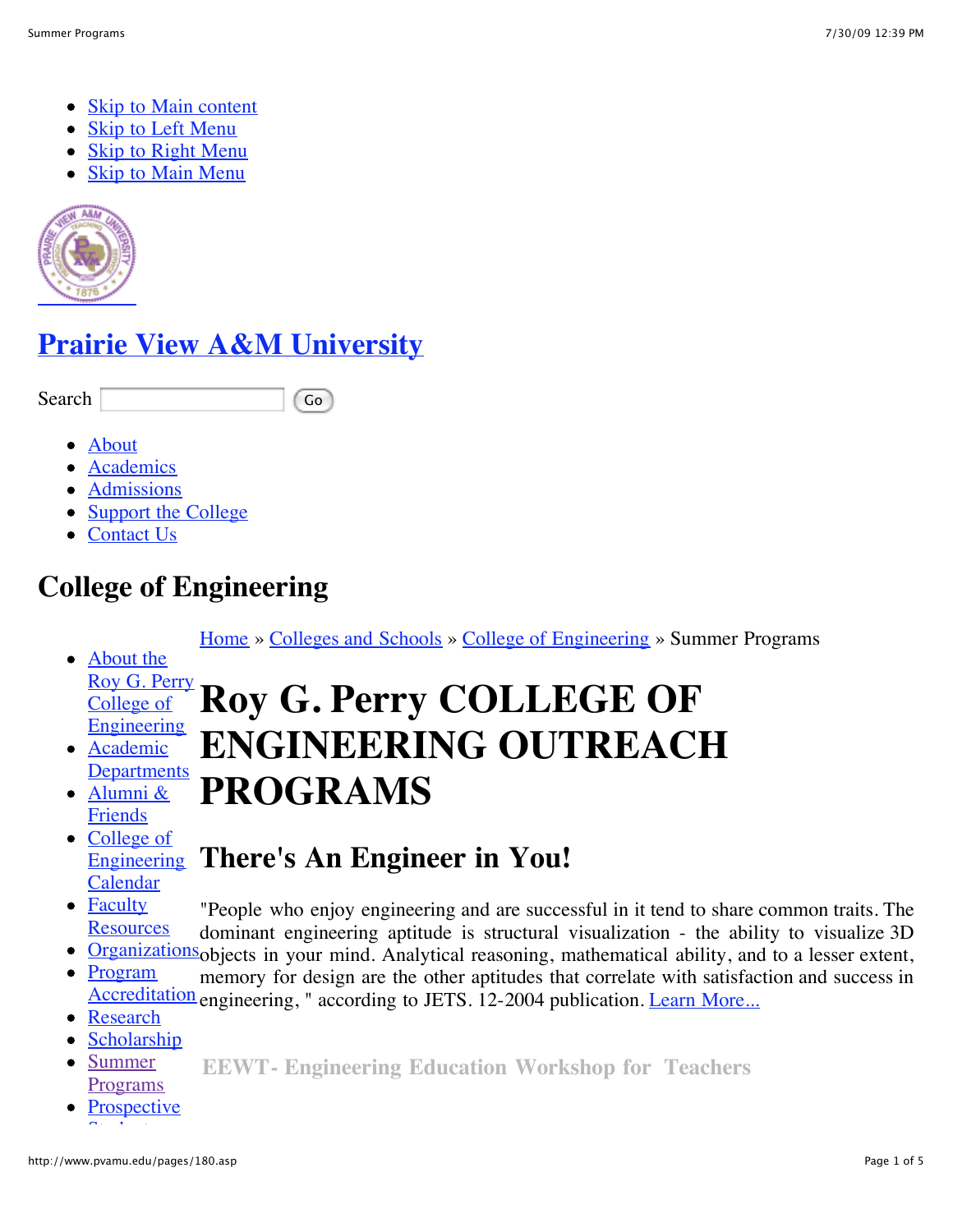- Skip to Main content
- Skip to Left Menu
- Skip to Right Menu
- Skip to Main Menu



# **Prairie View A&M University**

Search Go

- About
- Academics
- Admissions
- Support the College
- Contact Us

# **College of Engineering**

Home » Colleges and Schools » College of Engineering » Summer Programs

- About the Roy G. Perry College of Engineering **Roy G. Perry COLLEGE OF**
- Academic **Departments ENGINEERING OUTREACH PROGRAMS**
- Alumni & Friends
- College of **Engineering** Calendar
- Faculty **There's An Engineer in You!** "People who enjoy engineering and are successful in it tend to share common traits. The
- **Resources** dominant engineering aptitude is structural visualization - the ability to visualize 3D
- Organizations objects in your mind. Analytical reasoning, mathematical ability, and to a lesser extent,
- Program Accreditation engineering, " according to JETS. 12-2004 publication. Learn More... memory for design are the other aptitudes that correlate with satisfaction and success in
- Research
- Scholarship
- Summer Programs **EEWT- Engineering Education Workshop for Teachers**
- **Prospective**  $\sum_{i=1}^n \frac{1}{i} \sum_{j=1}^n \frac{1}{j} \sum_{j=1}^n \frac{1}{j} \sum_{j=1}^n \frac{1}{j} \sum_{j=1}^n \frac{1}{j} \sum_{j=1}^n \frac{1}{j} \sum_{j=1}^n \frac{1}{j} \sum_{j=1}^n \frac{1}{j} \sum_{j=1}^n \frac{1}{j} \sum_{j=1}^n \frac{1}{j} \sum_{j=1}^n \frac{1}{j} \sum_{j=1}^n \frac{1}{j} \sum_{j=1}^n \frac{1}{j} \sum_{j=1}^n \frac{$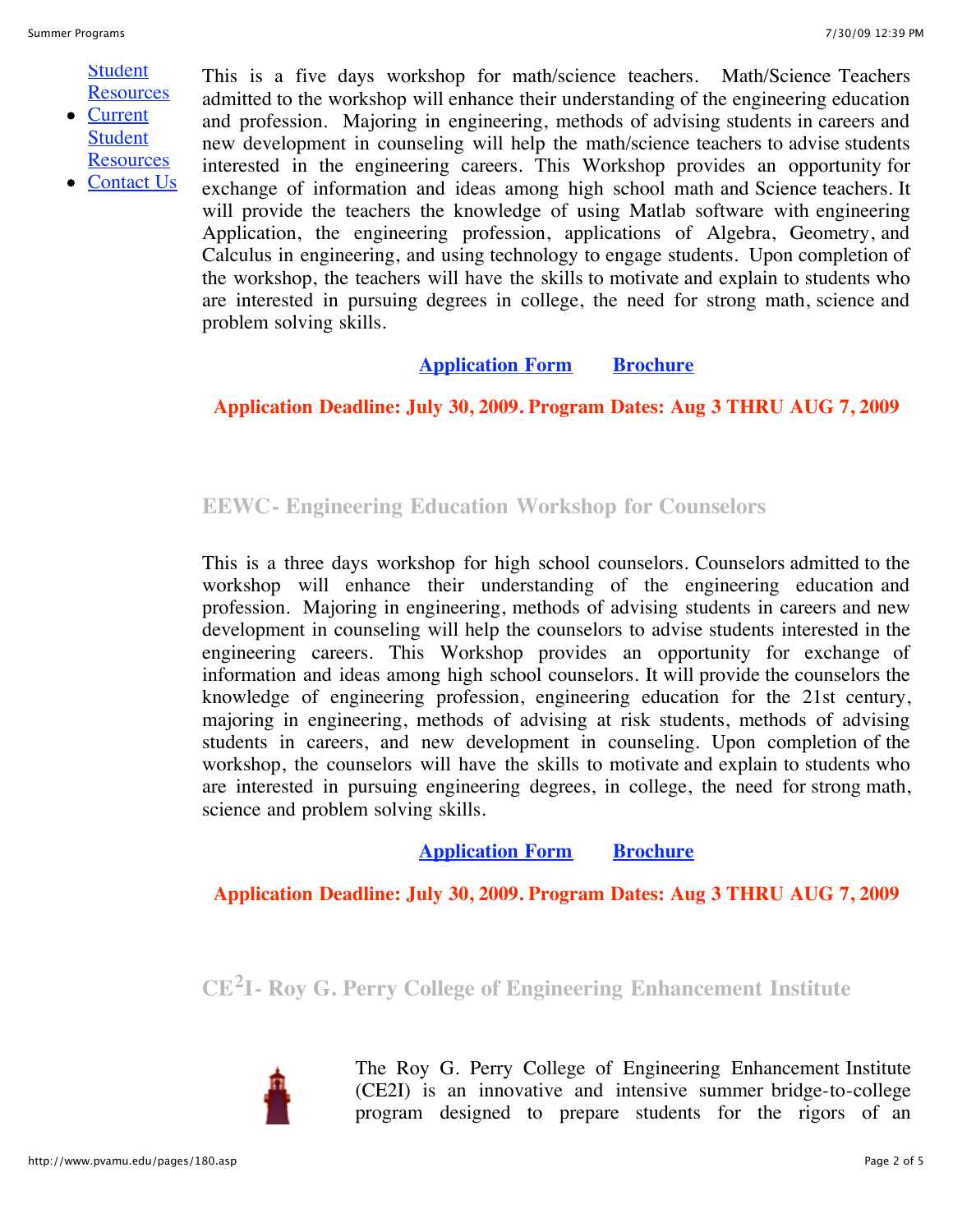**Student Resources** 

• Current **Student Resources** 

• Contact Us

This is a five days workshop for math/science teachers. Math/Science Teachers admitted to the workshop will enhance their understanding of the engineering education and profession. Majoring in engineering, methods of advising students in careers and new development in counseling will help the math/science teachers to advise students interested in the engineering careers. This Workshop provides an opportunity for exchange of information and ideas among high school math and Science teachers. It will provide the teachers the knowledge of using Matlab software with engineering Application, the engineering profession, applications of Algebra, Geometry, and Calculus in engineering, and using technology to engage students. Upon completion of the workshop, the teachers will have the skills to motivate and explain to students who are interested in pursuing degrees in college, the need for strong math, science and problem solving skills.

# **Application Form Brochure**

## **Application Deadline: July 30, 2009. Program Dates: Aug 3 THRU AUG 7, 2009**

# **EEWC- Engineering Education Workshop for Counselors**

This is a three days workshop for high school counselors. Counselors admitted to the workshop will enhance their understanding of the engineering education and profession. Majoring in engineering, methods of advising students in careers and new development in counseling will help the counselors to advise students interested in the engineering careers. This Workshop provides an opportunity for exchange of information and ideas among high school counselors. It will provide the counselors the knowledge of engineering profession, engineering education for the 21st century, majoring in engineering, methods of advising at risk students, methods of advising students in careers, and new development in counseling. Upon completion of the workshop, the counselors will have the skills to motivate and explain to students who are interested in pursuing engineering degrees, in college, the need for strong math, science and problem solving skills.

# **Application Form Brochure**

**Application Deadline: July 30, 2009. Program Dates: Aug 3 THRU AUG 7, 2009**

**CE2I- Roy G. Perry College of Engineering Enhancement Institute** 



The Roy G. Perry College of Engineering Enhancement Institute (CE2I) is an innovative and intensive summer bridge-to-college program designed to prepare students for the rigors of an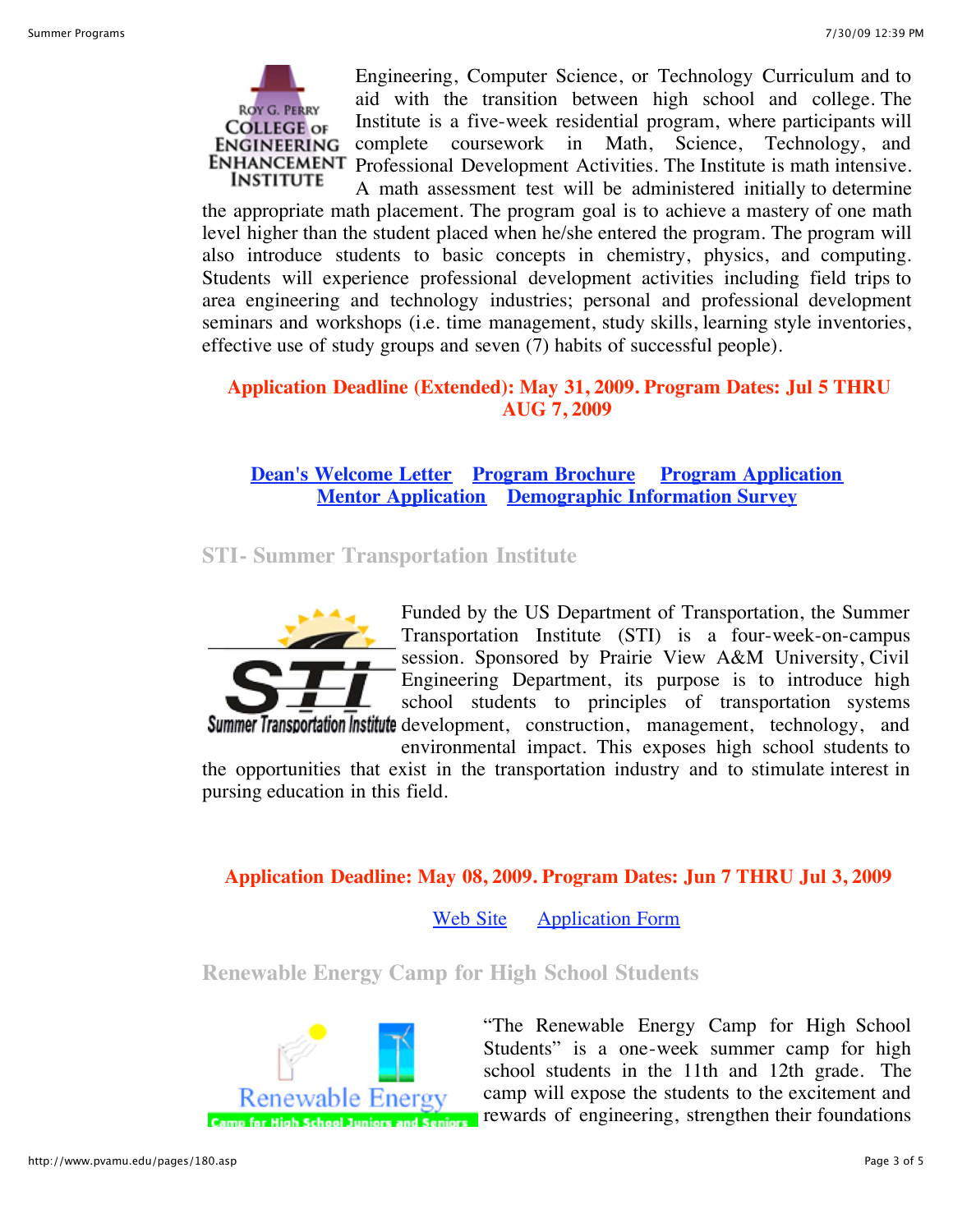

Engineering, Computer Science, or Technology Curriculum and to aid with the transition between high school and college. The Institute is a five-week residential program, where participants will complete coursework in Math, Science, Technology, and Professional Development Activities. The Institute is math intensive.

A math assessment test will be administered initially to determine the appropriate math placement. The program goal is to achieve a mastery of one math level higher than the student placed when he/she entered the program. The program will also introduce students to basic concepts in chemistry, physics, and computing. Students will experience professional development activities including field trips to area engineering and technology industries; personal and professional development seminars and workshops (i.e. time management, study skills, learning style inventories, effective use of study groups and seven (7) habits of successful people).

## **Application Deadline (Extended): May 31, 2009. Program Dates: Jul 5 THRU AUG 7, 2009**

**Dean's Welcome Letter Program Brochure Program Application Mentor Application Demographic Information Survey**

**STI- Summer Transportation Institute**



Funded by the US Department of Transportation, the Summer Transportation Institute (STI) is a four-week-on-campus session. Sponsored by Prairie View A&M University, Civil Engineering Department, its purpose is to introduce high school students to principles of transportation systems Summer Transportation Institute development, construction, management, technology, and

environmental impact. This exposes high school students to the opportunities that exist in the transportation industry and to stimulate interest in pursing education in this field.

# **Application Deadline: May 08, 2009. Program Dates: Jun 7 THRU Jul 3, 2009**

Web Site Application Form

**Renewable Energy Camp for High School Students**



"The Renewable Energy Camp for High School Students" is a one-week summer camp for high school students in the 11th and 12th grade. The camp will expose the students to the excitement and rewards of engineering, strengthen their foundations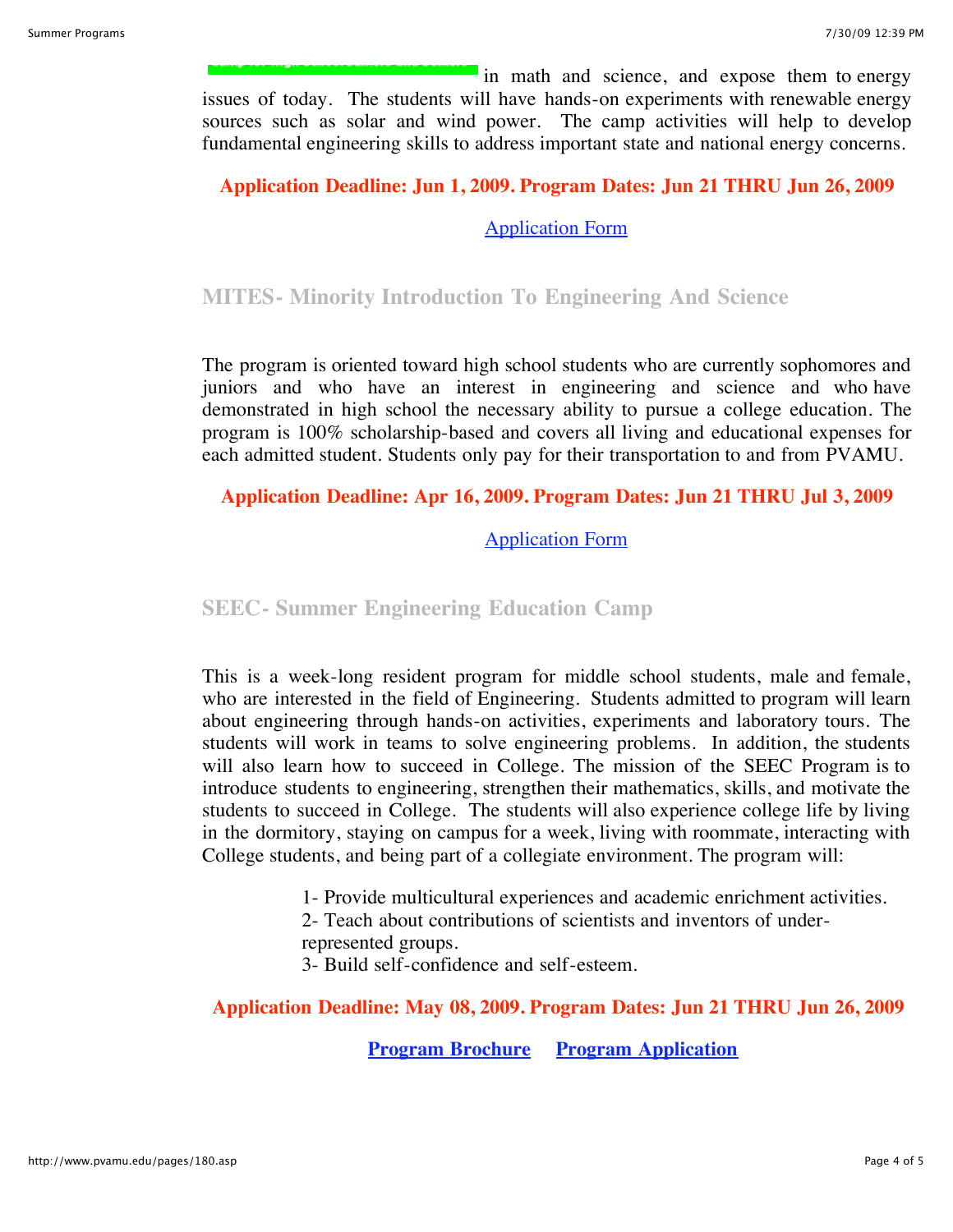in math and science, and expose them to energy issues of today. The students will have hands-on experiments with renewable energy sources such as solar and wind power. The camp activities will help to develop fundamental engineering skills to address important state and national energy concerns.

#### **Application Deadline: Jun 1, 2009. Program Dates: Jun 21 THRU Jun 26, 2009**

Application Form

## **MITES- Minority Introduction To Engineering And Science**

The program is oriented toward high school students who are currently sophomores and juniors and who have an interest in engineering and science and who have demonstrated in high school the necessary ability to pursue a college education. The program is 100% scholarship-based and covers all living and educational expenses for each admitted student. Students only pay for their transportation to and from PVAMU.

## **Application Deadline: Apr 16, 2009. Program Dates: Jun 21 THRU Jul 3, 2009**

## Application Form

## **SEEC- Summer Engineering Education Camp**

This is a week-long resident program for middle school students, male and female, who are interested in the field of Engineering. Students admitted to program will learn about engineering through hands-on activities, experiments and laboratory tours. The students will work in teams to solve engineering problems. In addition, the students will also learn how to succeed in College. The mission of the SEEC Program is to introduce students to engineering, strengthen their mathematics, skills, and motivate the students to succeed in College. The students will also experience college life by living in the dormitory, staying on campus for a week, living with roommate, interacting with College students, and being part of a collegiate environment. The program will:

1- Provide multicultural experiences and academic enrichment activities.

2- Teach about contributions of scientists and inventors of under-

represented groups.

3- Build self-confidence and self-esteem.

#### **Application Deadline: May 08, 2009. Program Dates: Jun 21 THRU Jun 26, 2009**

**Program Brochure Program Application**